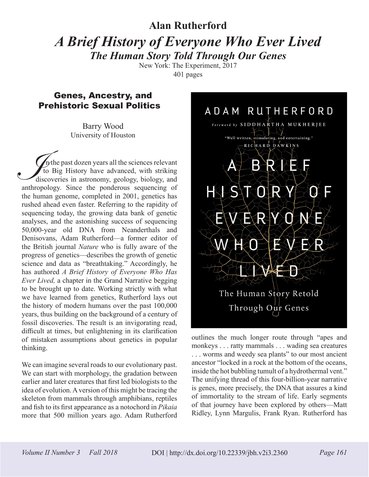## **Alan Rutherford** *A Brief History of Everyone Who Ever Lived*

*The Human Story Told Through Our Genes* New York: The Experiment, 2017

401 pages

## Genes, Ancestry, and Prehistoric Sexual Politics

Barry Wood University of Houston

 $n_{\text{t}}$  the past dozen years all the sciences relevant to Big History have advanced, with striking discoveries in astronomy, geology, biology, and The past dozen years all the sciences relevant<br>to Big History have advanced, with striking<br>discoveries in astronomy, geology, biology, and<br>anthropology. Since the ponderous sequencing of the human genome, completed in 2001, genetics has rushed ahead even faster. Referring to the rapidity of sequencing today, the growing data bank of genetic analyses, and the astonishing success of sequencing 50,000-year old DNA from Neanderthals and Denisovans, Adam Rutherford—a former editor of the British journal *Nature* who is fully aware of the progress of genetics—describes the growth of genetic science and data as "breathtaking." Accordingly, he has authored *A Brief History of Everyone Who Has Ever Lived,* a chapter in the Grand Narrative begging to be brought up to date. Working strictly with what we have learned from genetics, Rutherford lays out the history of modern humans over the past 100,000 years, thus building on the background of a century of fossil discoveries. The result is an invigorating read, difficult at times, but enlightening in its clarification of mistaken assumptions about genetics in popular thinking.

We can imagine several roads to our evolutionary past. We can start with morphology, the gradation between earlier and later creatures that first led biologists to the idea of evolution. A version of this might be tracing the skeleton from mammals through amphibians, reptiles and fish to its first appearance as a notochord in *Pikaia* more that 500 million years ago. Adam Rutherford



outlines the much longer route through "apes and monkeys . . . ratty mammals . . . wading sea creatures . . . worms and weedy sea plants" to our most ancient ancestor "locked in a rock at the bottom of the oceans, inside the hot bubbling tumult of a hydrothermal vent." The unifying thread of this four-billion-year narrative is genes, more precisely, the DNA that assures a kind of immortality to the stream of life. Early segments of that journey have been explored by others—Matt Ridley, Lynn Margulis, Frank Ryan. Rutherford has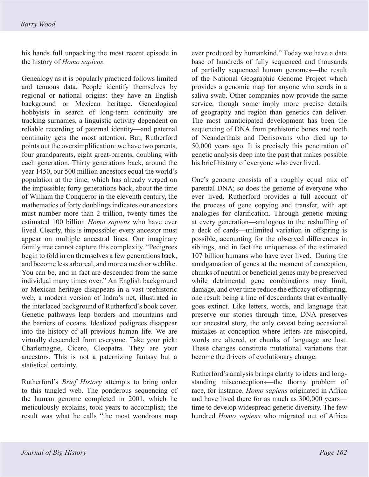his hands full unpacking the most recent episode in the history of *Homo sapiens*.

Genealogy as it is popularly practiced follows limited and tenuous data. People identify themselves by regional or national origins: they have an English background or Mexican heritage. Genealogical hobbyists in search of long-term continuity are tracking surnames, a linguistic activity dependent on reliable recording of paternal identity—and paternal continuity gets the most attention. But, Rutherford points out the oversimplification: we have two parents, four grandparents, eight great-parents, doubling with each generation. Thirty generations back, around the year 1450, our 500 million ancestors equal the world's population at the time, which has already verged on the impossible; forty generations back, about the time of William the Conqueror in the eleventh century, the mathematics of forty doublings indicates our ancestors must number more than 2 trillion, twenty times the estimated 100 billion *Homo sapiens* who have ever lived. Clearly, this is impossible: every ancestor must appear on multiple ancestral lines. Our imaginary family tree cannot capture this complexity. "Pedigrees begin to fold in on themselves a few generations back, and become less arboreal, and more a mesh or weblike. You can be, and in fact are descended from the same individual many times over." An English background or Mexican heritage disappears in a vast prehistoric web, a modern version of Indra's net, illustrated in the interlaced background of Rutherford's book cover. Genetic pathways leap borders and mountains and the barriers of oceans. Idealized pedigrees disappear into the history of all previous human life. We are virtually descended from everyone. Take your pick: Charlemagne, Cicero, Cleopatra. They are your ancestors. This is not a paternizing fantasy but a statistical certainty.

Rutherford's *Brief History* attempts to bring order to this tangled web. The ponderous sequencing of the human genome completed in 2001, which he meticulously explains, took years to accomplish; the result was what he calls "the most wondrous map

ever produced by humankind." Today we have a data base of hundreds of fully sequenced and thousands of partially sequenced human genomes—the result of the National Geographic Genome Project which provides a genomic map for anyone who sends in a saliva swab. Other companies now provide the same service, though some imply more precise details of geography and region than genetics can deliver. The most unanticipated development has been the sequencing of DNA from prehistoric bones and teeth of Neanderthals and Denisovans who died up to 50,000 years ago. It is precisely this penetration of genetic analysis deep into the past that makes possible his brief history of everyone who ever lived.

One's genome consists of a roughly equal mix of parental DNA; so does the genome of everyone who ever lived. Rutherford provides a full account of the process of gene copying and transfer, with apt analogies for clarification. Through genetic mixing at every generation—analogous to the reshuffling of a deck of cards—unlimited variation in offspring is possible, accounting for the observed differences in siblings, and in fact the uniqueness of the estimated 107 billion humans who have ever lived. During the amalgamation of genes at the moment of conception, chunks of neutral or beneficial genes may be preserved while detrimental gene combinations may limit, damage, and over time reduce the efficacy of offspring, one result being a line of descendants that eventually goes extinct. Like letters, words, and language that preserve our stories through time, DNA preserves our ancestral story, the only caveat being occasional mistakes at conception where letters are miscopied, words are altered, or chunks of language are lost. These changes constitute mutational variations that become the drivers of evolutionary change.

Rutherford's analysis brings clarity to ideas and longstanding misconceptions—the thorny problem of race, for instance. *Homo sapiens* originated in Africa and have lived there for as much as 300,000 years time to develop widespread genetic diversity. The few hundred *Homo sapiens* who migrated out of Africa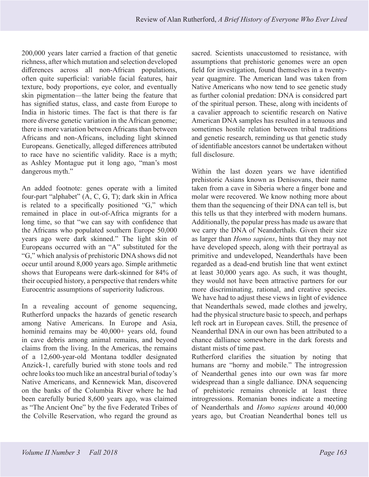200,000 years later carried a fraction of that genetic richness, after which mutation and selection developed differences across all non-African populations, often quite superficial: variable facial features, hair texture, body proportions, eye color, and eventually skin pigmentation—the latter being the feature that has signified status, class, and caste from Europe to India in historic times. The fact is that there is far more diverse genetic variation in the African genome; there is more variation between Africans than between Africans and non-Africans, including light skinned Europeans. Genetically, alleged differences attributed to race have no scientific validity. Race is a myth; as Ashley Montague put it long ago, "man's most dangerous myth."

An added footnote: genes operate with a limited four-part "alphabet" (A, C, G, T); dark skin in Africa is related to a specifically positioned "G," which remained in place in out-of-Africa migrants for a long time, so that "we can say with confidence that the Africans who populated southern Europe 50,000 years ago were dark skinned." The light skin of Europeans occurred with an "A" substituted for the "G," which analysis of prehistoric DNA shows did not occur until around 8,000 years ago. Simple arithmetic shows that Europeans were dark-skinned for 84% of their occupied history, a perspective that renders white Eurocentric assumptions of superiority ludicrous.

In a revealing account of genome sequencing, Rutherford unpacks the hazards of genetic research among Native Americans. In Europe and Asia, hominid remains may be 40,000+ years old, found in cave debris among animal remains, and beyond claims from the living. In the Americas, the remains of a 12,600-year-old Montana toddler designated Anzick-1, carefully buried with stone tools and red ochre looks too much like an ancestral burial of today's Native Americans, and Kennewick Man, discovered on the banks of the Columbia River where he had been carefully buried 8,600 years ago, was claimed as "The Ancient One" by the five Federated Tribes of the Colville Reservation, who regard the ground as sacred. Scientists unaccustomed to resistance, with assumptions that prehistoric genomes were an open field for investigation, found themselves in a twentyyear quagmire. The American land was taken from Native Americans who now tend to see genetic study as further colonial predation: DNA is considcred part of the spiritual person. These, along with incidents of a cavalier approach to scientific research on Native American DNA samples has resulted in a tenuous and sometimes hostile relation between tribal traditions and genetic research, reminding us that genetic study of identifiable ancestors cannot be undertaken without full disclosure.

Within the last dozen years we have identified prehistoric Asians known as Denisovans, their name taken from a cave in Siberia where a finger bone and molar were recovered. We know nothing more about them than the sequencing of their DNA can tell is, but this tells us that they interbred with modern humans. Additionally, the popular press has made us aware that we carry the DNA of Neanderthals. Given their size as larger than *Homo sapiens*, hints that they may not have developed speech, along with their portrayal as primitive and undeveloped, Neanderthals have been regarded as a dead-end brutish line that went extinct at least 30,000 years ago. As such, it was thought, they would not have been attractive partners for our more discriminating, rational, and creative species. We have had to adjust these views in light of evidence that Neanderthals sewed, made clothes and jewelry, had the physical structure basic to speech, and perhaps left rock art in European caves. Still, the presence of Neanderthal DNA in our own has been attributed to a chance dalliance somewhere in the dark forests and distant mists of time past.

Rutherford clarifies the situation by noting that humans are "horny and mobile." The introgression of Neanderthal genes into our own was far more widespread than a single dalliance. DNA sequencing of prehistoric remains chronicle at least three introgressions. Romanian bones indicate a meeting of Neanderthals and *Homo sapiens* around 40,000 years ago, but Croatian Neanderthal bones tell us